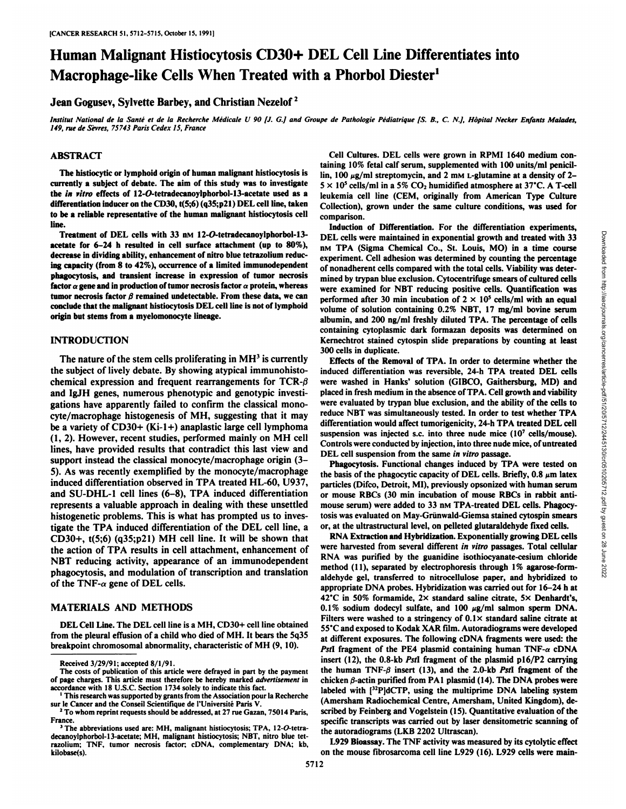# Human Malignant Histiocytosis CD30+ DEL Cell Line Differentiates into Macrophage-like Cells When Treated with a Phorbol Diester<sup>1</sup>

Jean Gogusev, Sylvette Barbey, and Christian Nezelof<sup>2</sup>

Institut National de la Santé et de la Recherche Médicale U 90 [J. G.] and Groupe de Pathologie Pédiatrique [S. B., C. N.], Hôpital Necker Enfants Malades, *149, rue de Sevrés,75743 Paris Cedex 15, France*

# ABSTRACT

The histiocytic or lymphoid origin of human malignant histiocytosis is currently a subject of debate. The aim of this study was to investigate the in vitro effects of 12-O-tetradecanoylphorbol-13-acetate used as a differentiation inducer on the CD30, t(5;6) (q35;p21) DEL cell line, taken to be a reliable representative of the human malignant histiocytosis cell line.

Treatment of DEL cells with 33 nm 12-O-tetradecanoylphorbol-13acetate for 6-24 h resulted in cell surface attachment (up to 80%), decrease in dividing ability, enhancement of nitro blue tetrazolium reduc ing capacity (from 8 to42%), occurrence of a limited immunodependent phagocytosis, and transient increase in expression of tumor necrosis tumor necrosis factor  $\beta$  remained undetectable. From these data, we can conclude that the malignant histiocytosis DEL cell line is not of lymphoid origin but stems from a myelomonocyte lineage.

# INTRODUCTION

The nature of the stem cells proliferating in  $MH<sup>3</sup>$  is currently the subject of lively debate. By showing atypical immunohistochemical expression and frequent rearrangements for  $TCR-\beta$  were washed in Hanks' solution (GIBCO, Gaithersburg, MD) and and IgJH genes, numerous phenotypic and genotypic investi gations have apparently failed to confirm the classical mono cyte/macrophage histogenesis of MH, suggesting that it may be a variety of  $CD30+ (Ki-1+)$  anaplastic large cell lymphoma  $(1, 2)$ . However, recent studies, performed mainly on MH cell lines, have provided results that contradict this last view and support instead the classical monocyte/macrophage origin (3- 5). As was recently exemplified by the monocyte/macrophage induced differentiation observed in TPA treated HL-60, U937, and SU-DHL-1 cell lines (6-8), TPA induced differentiation represents a valuable approach in dealing with these unsettled histogenetic problems. This is what has prompted us to inves tigate the TPA induced differentiation of the DEL cell line, a CD30+, t(5;6) (q35;p21) MH cell line. It will be shown that the action of TPA results in cell attachment, enhancement of NBT reducing activity, appearance of an immunodependent phagocytosis, and modulation of transcription and translation of the TNF- $\alpha$  gene of DEL cells.

# MATERIALS AND METHODS

from the pleural effusion of a child who died of MH. It bears the 5q35 breakpoint chromosomal abnormality, characteristic of MH (9, 10).

Cell Cultures. DEL cells were grown in RPMI 1640 medium con taining 10% fetal calf serum, supplemented with 100 units/ml penicil lin, 100  $\mu$ g/ml streptomycin, and 2 mm L-glutamine at a density of 2- $5 \times 10^5$  cells/ml in a 5% CO<sub>2</sub> humidified atmosphere at 37°C. A T-cell leukemia cell line (CEM, originally from American Type Culture Collection), grown under the same culture conditions, was used for comparison.

factor  $\alpha$  gene and in production of tumor necrosis factor  $\alpha$  protein, whereas were examined for NBT reducing positive cells. Quantification was Induction of Differentiation. For the differentiation experiments, DEL cells were maintained in exponential growth and treated with 33<br>
nM TPA (Sigma Chemical Co., St. Louis, MO) in a time course<br>
experiment. Cell adhesion was determined by counting the percentage<br>
of nonadherent cells c nM TPA (Sigma Chemical Co., St. Louis, MO) in a time course experiment. Cell adhesion was determined by counting the percentage of nonadherent cells compared with the total cells. Viability was deter mined by trypan blue exclusion. Cytocentrifuge smears of cultured cells performed after 30 min incubation of  $2 \times 10^5$  cells/ml with an equal volume of solution containing 0.2% NBT, 17 mg/ml bovine serum albumin, and 200 ng/ml freshly diluted TPA. The percentage of cells containing cytoplasmic dark formazan deposits was determined on Kernechtrot stained cytospin slide preparations by counting at least 300 cells in duplicate.

Effects of the Removal of TPA. In order to determine whether the induced differentiation was reversible, 24-h TPA treated DEL cells placed in fresh medium in the absence of TPA. Cell growth and viability were evaluated by trypan blue exclusion, and the ability of the cells to reduce NBT was simultaneously tested. In order to test whether TPA differentiation would affect tumorigenicity, 24-h TPA treated DEL cell suspension was injected s.c. into three nude mice (10<sup>7</sup> cells/mouse). Controls were conducted by injection, into three nude mice, of untreated DEL cell suspension from the same in vitro passage.

Phagocytosis. Functional changes induced by TPA were tested on the basis of the phagocytic capacity of DEL cells. Briefly,  $0.8 \mu m$  latex particles (Difco, Detroit, MI), previously opsonized with human serum or mouse RBCs (30 min incubation of mouse RBCs in rabbit anti mouse serum) were added to 33 nm TPA-treated DEL cells. Phagocytosis was evaluated on May-Grünwald-Giemsa stained cytospin smears or, at the ultrastructural level, on pelleted glutaraldehyde fixed cells.

DEL Cell Line. The DEL cell line is a MH, CD30+ cell line obtained<br>55 °C and exposed to Kodak XAR film. Autoradiograms were developed RNA Extraction and Hybridization. Exponentially growing DEL cells were harvested from several different in vitro passages. Total cellular RNA was purified by the guanidine isothiocyanate-cesium chloride method (11), separated by electrophoresis through 1% agarose-formaldehyde gel, transferred to nitrocellulose paper, and hybridized to appropriate DNA probes. Hybridization was carried out for 16-24 h at 42°C in 50% formamide,  $2 \times$  standard saline citrate,  $5 \times$  Denhardt's,  $0.1\%$  sodium dodecyl sulfate, and  $100 \mu g/ml$  salmon sperm DNA. Filters were washed to a stringency of  $0.1 \times$  standard saline citrate at at different exposures. The following cDNA fragments were used: the *PstI* fragment of the PE4 plasmid containing human  $TNF-\alpha$  *cDNA* insert (12), the 0.8-kb Pstl fragment of the plasmid pl6/P2 carrying the human TNF- $\beta$  insert (13), and the 2.0-kb PstI fragment of the chicken  $\beta$ -actin purified from PA1 plasmid (14). The DNA probes were labeled with [32P]dCTP, using the multiprime DNA labeling system (Amersham Radiochemical Centre, Amersham, United Kingdom), de scribed by Feinberg and Vogelstein (15). Quantitative evaluation of the specific transcripts was carried out by laser densitometric scanning of the autoradiograms (LKB 2202 Ultrascan).

> L929 Bioassay. The TNF activity was measured by its cytolytic effect on the mouse fibrosarcoma cell line L929 (16). L929 cells were main-

Received 3/29/91; accepted 8/1/91.

The costs of publication of this article were defrayed in part by the payment of page charges. This article must therefore be hereby marked advertisement in accordance with 18 U.S.C. Section 1734 solely to indicate this fact.

<sup>&#</sup>x27; This research was supported by grants from the Association pour la Recherche sur le Cancer and the Conseil Scientifique de l'Université Paris V.

<sup>&</sup>lt;sup>2</sup> To whom reprint requests should be addressed, at 27 rue Gazan, 75014 Paris, France.

<sup>&</sup>lt;sup>3</sup> The abbreviations used are: MH, malignant histiocytosis; TPA, 12-O-tetradecanoylphorbol-13-acetate; MH, malignant histiocytosis; NBT, nitro blue tet razolium; TNF, tumor necrosis factor; cDNA, complementary DNA; kb, kilobase(s).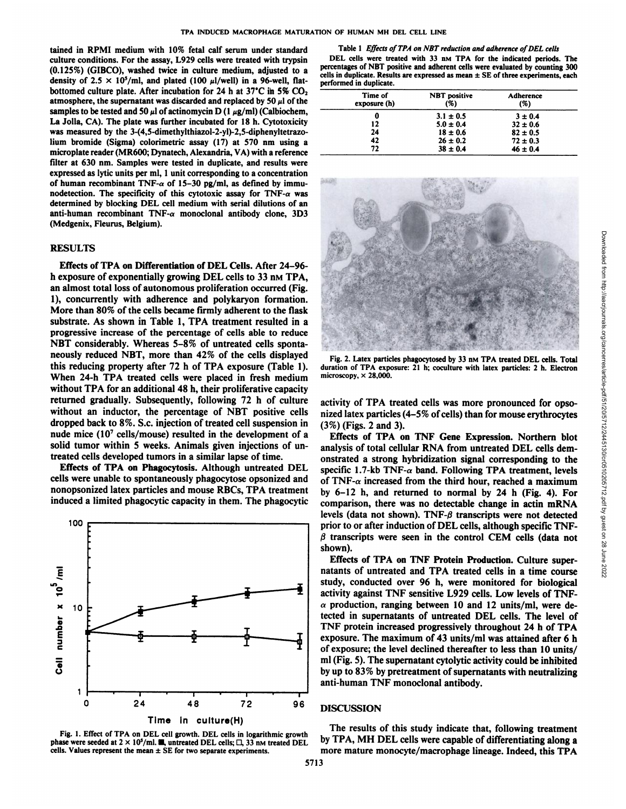tained in RPMI medium with 10% fetal calf serum under standard culture conditions. For the assay, L929 cells were treated with trypsin (0.125%) (GIBCO), washed twice in culture medium, adjusted to a density of 2.5  $\times$  10<sup>5</sup>/ml, and plated (100  $\mu$ l/well) in a 96-well, flatbottomed culture plate. After incubation for 24 h at 37°C in 5%  $CO<sub>2</sub>$ atmosphere, the supernatant was discarded and replaced by 50  $\mu$ l of the samples to be tested and 50  $\mu$ l of actinomycin D (1  $\mu$ g/ml) (Calbiochem, La Jolla, CA). The plate was further incubated for 18 h. Cytotoxicity was measured by the 3-(4,5-dimethylthiazol-2-yl)-2,5-diphenyltetrazolium bromide (Sigma) colorimetrie assay (17) at 570 nm using a microplate reader (MR600; Dynatech, Alexandria, VA) with a reference filter at 630 nm. Samples were tested in duplicate, and results were expressed as lytic units per ml, 1 unit corresponding to a concentration of human recombinant TNF- $\alpha$  of 15-30 pg/ml, as defined by immunodetection. The specificity of this cytotoxic assay for TNF- $\alpha$  was determined by blocking DEL cell medium with serial dilutions of an anti-human recombinant TNF-a monoclonal antibody clone, 3D3 (Medgenix, Fleurus, Belgium).

#### RESULTS

Effects of TPA on Differentiation of DEL Cells.After 24-96 h exposure of exponentially growing DEL cells to 33 nm TPA, an almost total loss of autonomous proliferation occurred (Fig. 1), concurrently with adherence and polykaryon formation. More than 80% of the cells became firmly adherent to the flask substrate. As shown in Table 1, TPA treatment resulted in a progressive increase of the percentage of cells able to reduce NBT considerably. Whereas 5-8% of untreated cells sponta neously reduced NBT, more than 42% of the cells displayed this reducing property after 72 h of TPA exposure (Table 1). When 24-h TPA treated cells were placed in fresh medium without TPA for an additional 48 h, their proliferative capacity returned gradually. Subsequently, following 72 h of culture without an inductor, the percentage of NBT positive cells dropped back to 8%. S.c. injection of treated cell suspension in nude mice  $(10<sup>7</sup>$  cells/mouse) resulted in the development of a solid tumor within 5 weeks. Animals given injections of un treated cells developed tumors in a similar lapse of time.

Effects of TPA on Phagocytosis. Although untreated DEL cells were unable to spontaneously phagocytose opsonized and nonopsonized latex particles and mouse RBCs, TPA treatment induced a limited phagocytic capacity in them. The phagocytic





Table 1 Effects of TPA on NBT reduction and adherence of DEL cells DEL cells were treated with 33 nm TPA for the indicated periods. The percentages of NBT positive and adherent cells were evaluated by counting 300 cells in duplicate. Results are expressed as mean  $\pm$  SE of three experiments, each performed in duplicate.

| Time of<br>exposure (h) | <b>NBT</b> positive<br>(%) | Adherence<br>(%) |
|-------------------------|----------------------------|------------------|
|                         | $3.1 \pm 0.5$              | $3 \pm 0.4$      |
| 12                      | $5.0 \pm 0.4$              | $32 \pm 0.6$     |
| 24                      | $18 \pm 0.6$               | $82 \pm 0.5$     |
| 42                      | $26 \pm 0.2$               | $72 \pm 0.3$     |
| 72                      | $38 \pm 0.4$               | $46 \pm 0.4$     |



Fig. 2. Latex particles phagocytosed by 33 nm TPA treated DEL cells. Total microscopy,  $\times$  28,000.

activity of TPA treated cells was more pronounced for opso nized latex particles  $(4-5\%$  of cells) than for mouse erythrocytes (3%) (Figs. 2 and 3).

Effects of TPA on TNF Gene Expression. Northern blot analysis of total cellular RNA from untreated DEL cells dem onstrated a strong hybridization signal corresponding to the specific 1.7-kb TNF- $\alpha$  band. Following TPA treatment, levels of TNF- $\alpha$  increased from the third hour, reached a maximum by 6-12 h, and returned to normal by 24 h (Fig. 4). For comparison, there was no detectable change in actin mRNA levels (data not shown). TNF- $\beta$  transcripts were not detected prior to or after induction of DEL cells, although specific TNF- $\beta$  transcripts were seen in the control CEM cells (data not shown).

Effects of TPA on TNF Protein Production. Culture supernatants of untreated and TPA treated cells in a time course study, conducted over 96 h, were monitored for biological activity against TNF sensitive L929 cells. Low levels of TNF-  $\alpha$  production, ranging between 10 and 12 units/ml, were detected in supernatants of untreated DEL cells.The level of TNF protein increased progressively throughout 24 h of TPA exposure. The maximum of 43 units/ml was attained after 6 h of exposure; the level declined thereafter to less than 10 units/ ml (Fig. 5). The supernatant cytolytic activity could be inhibited by up to 83% by pretreatment of supernatants with neutralizing anti-human TNF monoclonal antibody.

# 96 **DISCUSSION**

The results of this study indicate that, following treatment by TPA, MH DEL cells were capable of differentiating along a more mature monocyte/macrophage lineage. Indeed, this TPA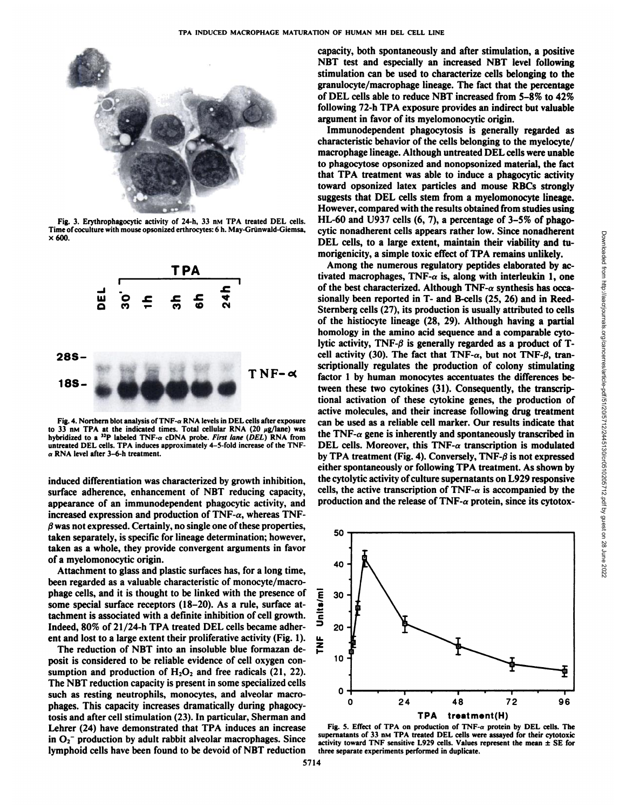

Fig. 3. Erythrophagocytic activity of 24-h, 33 nm TPA treated DEL cells. Time of coculture with mouse opsonized erthrocytes: 6 h. May-Grünwald-Giemsa,  $\times$  600.



Fig. 4. Northern blot analysis of TNF- $\alpha$  RNA levels in DEL cells after exposure to 33 nm TPA at the indicated times. Total cellular RNA (20  $\mu$ g/lane) was hybridized to a <sup>32</sup>P labeled TNF- $\alpha$  cDNA probe. *First lane (DEL)* RNA from untreated DEL cells. TPA induces approximately 4-5-fold increase of the TNF-  $\alpha$  RNA level after 3-6-h treatment.

induced differentiation was characterized by growth inhibition, surface adherence, enhancement of NBT reducing capacity, appearance of an immunodependent phagocytic activity, and increased expression and production of  $TNF-\alpha$ , whereas  $TNF$ *ßwas not expressed. Certainly, no single one of these properties,* taken separately, is specific for lineage determination; however, taken as a whole, they provide convergent arguments in favor of a myelomonocytic origin.

Attachment to glass and plastic surfaces has, for a long time, been regarded as a valuable characteristic of monocyte/macrophage cells, and it is thought to be linked with the presence of some special surface receptors (18-20). As a rule, surface at tachment is associated with a definite inhibition of cell growth. Indeed, 80% of 21/24-h TPA treated DEL cells became adher ent and lost to a large extent their proliferative activity (Fig. 1).  $\Box$ <br>The reduction of NBT into an insoluble blue formazan de-

The reduction of NBT into an insoluble blue formazan de posit is considered to be reliable evidence of cell oxygen con sumption and production of  $H_2O_2$  and free radicals (21, 22). The NBT reduction capacity is present in some specialized cells such as resting neutrophils, monocytes, and alveolar macro phages. This capacity increases dramatically during phagocy tosis and after cell stimulation (23). In particular, Sherman and Lehrer (24) have demonstrated that TPA induces an increase in  $O_2^-$  production by adult rabbit alveolar macrophages. Since lymphoid cells have been found to be devoid of NBT reduction

capacity, both spontaneously and after stimulation, a positive NBT test and especially an increased NBT level following stimulation can be used to characterize cells belonging to the granulocyte/macrophage lineage. The fact that the percentage of DEL cells able to reduce NBT increased from 5-8% to 42% following 72-h TPA exposure provides an indirect but valuable argument in favor of its myelomonocytic origin.

Immunodependent phagocytosis is generally regarded as characteristic behavior of the cells belonging to the myelocyte/ macrophage lineage. Although untreated DEL cells were unable to phagocytose opsonized and nonopsonized material, the fact that TPA treatment was able to induce a phagocytic activity toward opsonized latex particles and mouse RBCs strongly suggests that DEL cells stem from a myelomonocyte lineage. However, compared with the results obtained from studies using HL-60 and U937 cells (6, 7), a percentage of 3-5% of phago cytic nonadherent cells appears rather low. Since nonadherent DEL cells, to a large extent, maintain their viability and tumorigenicity, a simple toxic effect of TPA remains unlikely.

the monaturent cents appears ratter low. Since nonaturent consideration and the relation of the method of TEA remains uniformly, a simple toxic effect of TPA remains unikely.<br>Among the numerous regulatory peptides elaborat tivated macrophages, TNF- $\alpha$  is, along with interleukin 1, one of the best characterized. Although TNF- $\alpha$  synthesis has occasionally been reported in T- and B-cells (25, 26) and in Reed-Sternberg cells (27), its production is usually attributed to cells of the histiocyte lineage (28, 29). Although having a partial homology in the amino acid sequence and a comparable cytolytic activity, TNF- $\beta$  is generally regarded as a product of Tcell activity (30). The fact that TNF- $\alpha$ , but not TNF- $\beta$ , transcriptionally regulates the production of colony stimulating factor 1 by human monocytes accentuates the differences be tween these two cytokines (31). Consequently, the transcriptional activation of these cytokine genes, the production of active molecules, and their increase following drug treatment can be used as a reliable cell marker. Our results indicate that the TNF- $\alpha$  gene is inherently and spontaneously transcribed in DEL cells. Moreover, this TNF- $\alpha$  transcription is modulated by TPA treatment (Fig. 4). Conversely, TNF- $\beta$  is not expressed either spontaneously or following TPA treatment. As shown by the cytolytic activity of culture supernatants on L929 responsive cells, the active transcription of TNF- $\alpha$  is accompanied by the production and the release of TNF- $\alpha$  protein, since its cytotox-



Fig. 5. Effect of TPA on production of TNF- $\alpha$  protein by DEL cells. The supernatants of 33 nM TPA treated DEL cells were assayed for their cytotoxic activity toward TNF sensitive L929 cells. Values represent the mean ±SE for three separate experiments performed in duplicate.